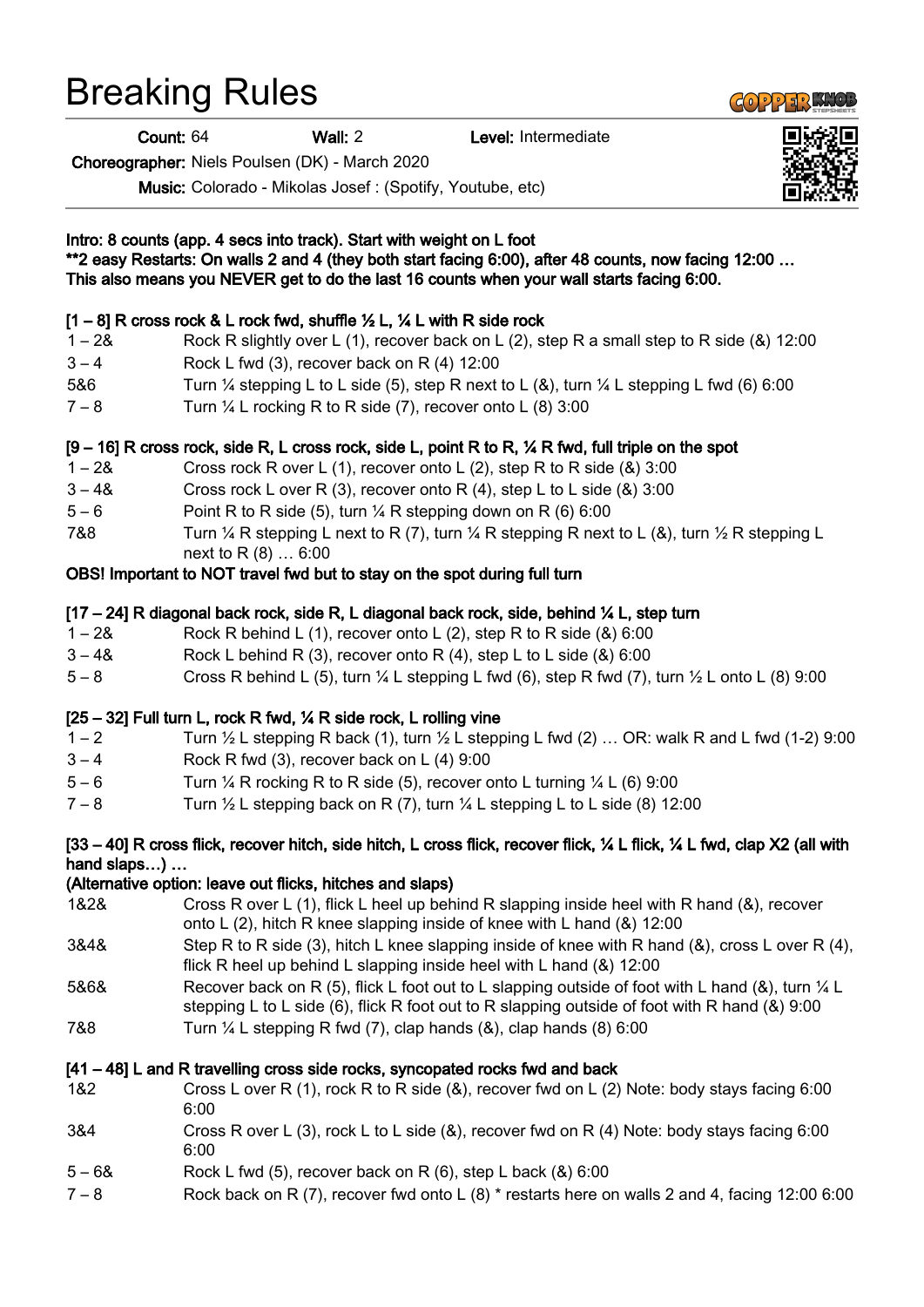## Breaking Rules

Count: 64 Wall: 2 Level: Intermediate

Choreographer: Niels Poulsen (DK) - March 2020

Music: Colorado - Mikolas Josef : (Spotify, Youtube, etc)

| Intro: 8 counts (app. 4 secs into track). Start with weight on L foot<br>**2 easy Restarts: On walls 2 and 4 (they both start facing 6:00), after 48 counts, now facing 12:00<br>This also means you NEVER get to do the last 16 counts when your wall starts facing 6:00. |                                                                                                                                                                                                              |
|----------------------------------------------------------------------------------------------------------------------------------------------------------------------------------------------------------------------------------------------------------------------------|--------------------------------------------------------------------------------------------------------------------------------------------------------------------------------------------------------------|
|                                                                                                                                                                                                                                                                            | $[1-8]$ R cross rock & L rock fwd, shuffle $\frac{1}{2}$ L, $\frac{1}{4}$ L with R side rock                                                                                                                 |
| $1 - 28$                                                                                                                                                                                                                                                                   | Rock R slightly over L (1), recover back on L (2), step R a small step to R side (&) 12:00                                                                                                                   |
| $3 - 4$                                                                                                                                                                                                                                                                    | Rock L fwd (3), recover back on R (4) 12:00                                                                                                                                                                  |
| 5&6                                                                                                                                                                                                                                                                        | Turn $\frac{1}{4}$ stepping L to L side (5), step R next to L (&), turn $\frac{1}{4}$ L stepping L fwd (6) 6:00                                                                                              |
| $7 - 8$                                                                                                                                                                                                                                                                    | Turn $\frac{1}{4}$ L rocking R to R side (7), recover onto L (8) 3:00                                                                                                                                        |
| $[9-16]$ R cross rock, side R, L cross rock, side L, point R to R, $\frac{1}{2}$ R fwd, full triple on the spot                                                                                                                                                            |                                                                                                                                                                                                              |
| $1 - 28$                                                                                                                                                                                                                                                                   | Cross rock R over L $(1)$ , recover onto L $(2)$ , step R to R side $(8)$ 3:00                                                                                                                               |
| $3 - 48$                                                                                                                                                                                                                                                                   | Cross rock L over R (3), recover onto R (4), step L to L side (&) $3:00$                                                                                                                                     |
| $5 - 6$                                                                                                                                                                                                                                                                    | Point R to R side (5), turn 1/4 R stepping down on R (6) 6:00                                                                                                                                                |
| 7&8                                                                                                                                                                                                                                                                        | Turn $\frac{1}{4}$ R stepping L next to R (7), turn $\frac{1}{4}$ R stepping R next to L (&), turn $\frac{1}{2}$ R stepping L<br>next to R (8)  6:00                                                         |
| OBS! Important to NOT travel fwd but to stay on the spot during full turn                                                                                                                                                                                                  |                                                                                                                                                                                                              |
|                                                                                                                                                                                                                                                                            | [17 – 24] R diagonal back rock, side R, L diagonal back rock, side, behind 1/4 L, step turn                                                                                                                  |
| $1 - 28$                                                                                                                                                                                                                                                                   | Rock R behind L (1), recover onto L (2), step R to R side $(8)$ 6:00                                                                                                                                         |
| $3 - 48$                                                                                                                                                                                                                                                                   | Rock L behind R (3), recover onto R (4), step L to L side (&) 6:00                                                                                                                                           |
| $5 - 8$                                                                                                                                                                                                                                                                    | Cross R behind L (5), turn $\frac{1}{4}$ L stepping L fwd (6), step R fwd (7), turn $\frac{1}{2}$ L onto L (8) 9:00                                                                                          |
| [25 – 32] Full turn L, rock R fwd, 1/4 R side rock, L rolling vine                                                                                                                                                                                                         |                                                                                                                                                                                                              |
| $1 - 2$                                                                                                                                                                                                                                                                    | Turn $\frac{1}{2}$ L stepping R back (1), turn $\frac{1}{2}$ L stepping L fwd (2)  OR: walk R and L fwd (1-2) 9:00                                                                                           |
| $3 - 4$                                                                                                                                                                                                                                                                    | Rock R fwd (3), recover back on L (4) 9:00                                                                                                                                                                   |
| $5 - 6$                                                                                                                                                                                                                                                                    | Turn $\frac{1}{4}$ R rocking R to R side (5), recover onto L turning $\frac{1}{4}$ L (6) 9:00                                                                                                                |
| $7 - 8$                                                                                                                                                                                                                                                                    | Turn $\frac{1}{2}$ L stepping back on R (7), turn $\frac{1}{4}$ L stepping L to L side (8) 12:00                                                                                                             |
| [33 – 40] R cross flick, recover hitch, side hitch, L cross flick, recover flick, ¼ L flick, ¼ L fwd, clap X2 (all with                                                                                                                                                    |                                                                                                                                                                                                              |
| hand slaps)<br>(Alternative option: leave out flicks, hitches and slaps)                                                                                                                                                                                                   |                                                                                                                                                                                                              |
|                                                                                                                                                                                                                                                                            |                                                                                                                                                                                                              |
| 1&2&                                                                                                                                                                                                                                                                       | Cross R over L (1), flick L heel up behind R slapping inside heel with R hand (&), recover<br>onto L (2), hitch R knee slapping inside of knee with L hand (&) 12:00                                         |
| 3&4&                                                                                                                                                                                                                                                                       | Step R to R side (3), hitch L knee slapping inside of knee with R hand ( $\&$ ), cross L over R (4),<br>flick R heel up behind L slapping inside heel with L hand (&) 12:00                                  |
| 5&6&                                                                                                                                                                                                                                                                       | Recover back on R (5), flick L foot out to L slapping outside of foot with L hand (&), turn $\frac{1}{4}$ L<br>stepping L to L side (6), flick R foot out to R slapping outside of foot with R hand (&) 9:00 |
| 7&8                                                                                                                                                                                                                                                                        | Turn $\frac{1}{4}$ L stepping R fwd (7), clap hands (&), clap hands (8) 6:00                                                                                                                                 |
| [41 – 48] L and R travelling cross side rocks, syncopated rocks fwd and back                                                                                                                                                                                               |                                                                                                                                                                                                              |
| 1&2                                                                                                                                                                                                                                                                        | Cross L over R (1), rock R to R side $(8)$ , recover fwd on L (2) Note: body stays facing 6:00<br>6:00                                                                                                       |
| 3&4                                                                                                                                                                                                                                                                        | Cross R over L (3), rock L to L side (&), recover fwd on R (4) Note: body stays facing 6:00<br>6:00                                                                                                          |
| $5 - 68$                                                                                                                                                                                                                                                                   | Rock L fwd (5), recover back on R (6), step L back (&) 6:00                                                                                                                                                  |
| $7 - 8$                                                                                                                                                                                                                                                                    | Rock back on R (7), recover fwd onto L (8) $*$ restarts here on walls 2 and 4, facing 12:00 6:00                                                                                                             |
|                                                                                                                                                                                                                                                                            |                                                                                                                                                                                                              |



**COPPER KNOP**